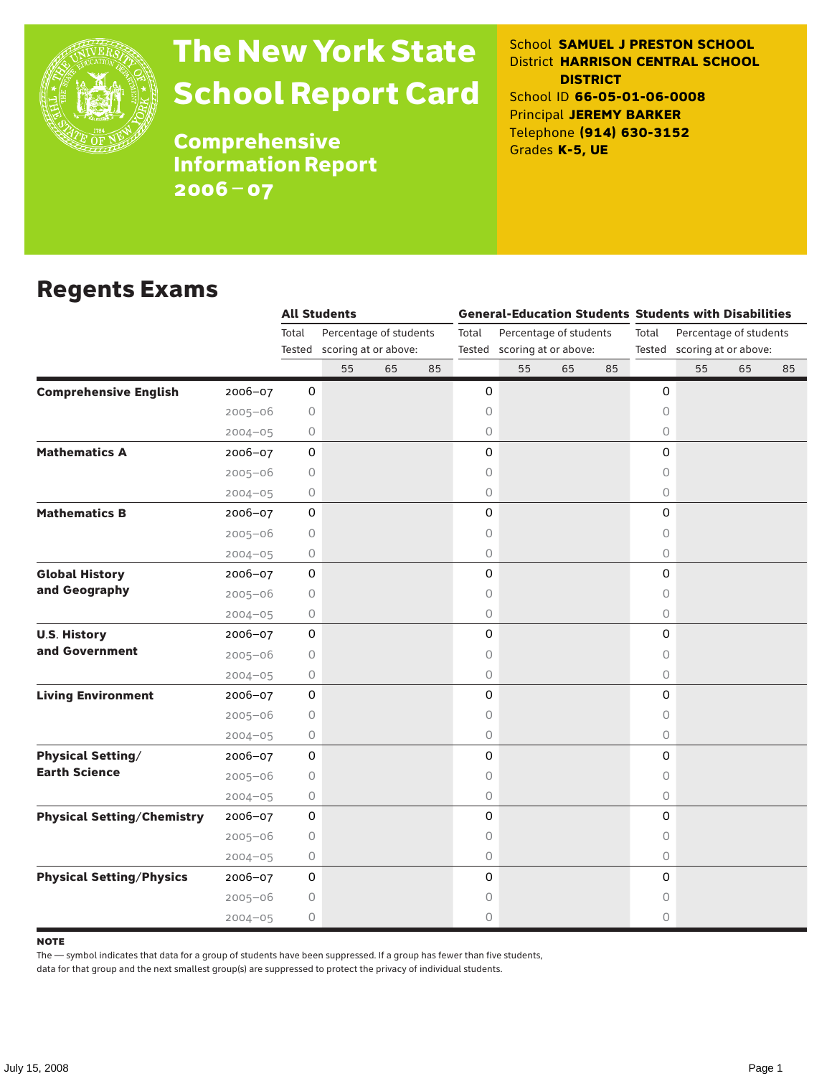

# The New York State School Report Card

School **SAMUEL J PRESTON SCHOOL** District **HARRISON CENTRAL SCHOOL DISTRICT** School ID **66-05-01-06-0008** Principal **JEREMY BARKER** Telephone **(914) 630-3152** Grades **K-5, UE**

**Comprehensive** Information Report 2006–07

### Regents Exams

|                                                  |             | <b>All Students</b>             |                             |    |       |                        |                             |    |       | <b>General-Education Students Students with Disabilities</b> |                             |    |    |  |
|--------------------------------------------------|-------------|---------------------------------|-----------------------------|----|-------|------------------------|-----------------------------|----|-------|--------------------------------------------------------------|-----------------------------|----|----|--|
|                                                  |             | Total<br>Percentage of students |                             |    | Total | Percentage of students |                             |    | Total | Percentage of students                                       |                             |    |    |  |
|                                                  |             |                                 | Tested scoring at or above: |    |       |                        | Tested scoring at or above: |    |       |                                                              | Tested scoring at or above: |    |    |  |
|                                                  |             |                                 | 55                          | 65 | 85    |                        | 55                          | 65 | 85    |                                                              | 55                          | 65 | 85 |  |
| <b>Comprehensive English</b><br>2006-07          |             | 0                               |                             |    |       | 0                      |                             |    |       | 0                                                            |                             |    |    |  |
| $2005 - 06$                                      |             | 0                               |                             |    |       | 0                      |                             |    |       | $\circ$                                                      |                             |    |    |  |
| $2004 - 05$                                      |             | 0                               |                             |    |       | 0                      |                             |    |       | 0                                                            |                             |    |    |  |
| <b>Mathematics A</b><br>2006-07                  |             | 0                               |                             |    |       | 0                      |                             |    |       | 0                                                            |                             |    |    |  |
| $2005 - 06$                                      |             | 0                               |                             |    |       | 0                      |                             |    |       | 0                                                            |                             |    |    |  |
| $2004 - 05$                                      |             | 0                               |                             |    |       | 0                      |                             |    |       | 0                                                            |                             |    |    |  |
| <b>Mathematics B</b><br>2006-07                  |             | 0                               |                             |    |       | 0                      |                             |    |       | 0                                                            |                             |    |    |  |
| $2005 - 06$                                      |             | $\circ$                         |                             |    |       | 0                      |                             |    |       | $\circ$                                                      |                             |    |    |  |
| $2004 - 05$                                      |             | 0                               |                             |    |       | 0                      |                             |    |       | $\circ$                                                      |                             |    |    |  |
| <b>Global History</b><br>2006-07                 |             | 0                               |                             |    |       | 0                      |                             |    |       | $\mathsf{O}\xspace$                                          |                             |    |    |  |
| and Geography<br>$2005 - 06$                     |             | $\circ$                         |                             |    |       | 0                      |                             |    |       | 0                                                            |                             |    |    |  |
| $2004 - 05$                                      |             | 0                               |                             |    |       | 0                      |                             |    |       | $\circ$                                                      |                             |    |    |  |
| <b>U.S. History</b><br>2006-07                   |             | 0                               |                             |    |       | 0                      |                             |    |       | $\mathsf O$                                                  |                             |    |    |  |
| and Government<br>$2005 - 06$                    |             | 0                               |                             |    |       | 0                      |                             |    |       | $\circ$                                                      |                             |    |    |  |
| $2004 - 05$                                      |             | 0                               |                             |    |       | 0                      |                             |    |       | $\circ$                                                      |                             |    |    |  |
| <b>Living Environment</b><br>2006-07             |             | 0                               |                             |    |       | 0                      |                             |    |       | 0                                                            |                             |    |    |  |
| $2005 - 06$                                      |             | 0                               |                             |    |       | 0                      |                             |    |       | $\circ$                                                      |                             |    |    |  |
|                                                  | $2004 - 05$ | 0                               |                             |    |       | 0                      |                             |    |       | $\circ$                                                      |                             |    |    |  |
| <b>Physical Setting/</b><br>2006-07              |             | $\mathsf{O}\xspace$             |                             |    |       | 0                      |                             |    |       | 0                                                            |                             |    |    |  |
| <b>Earth Science</b><br>$2005 - 06$              |             | 0                               |                             |    |       | 0                      |                             |    |       | 0                                                            |                             |    |    |  |
| $2004 - 05$                                      |             | 0                               |                             |    |       | 0                      |                             |    |       | $\circ$                                                      |                             |    |    |  |
| <b>Physical Setting/Chemistry</b><br>$2006 - 07$ |             | 0                               |                             |    |       | 0                      |                             |    |       | 0                                                            |                             |    |    |  |
| $2005 - 06$                                      |             | 0                               |                             |    |       | 0                      |                             |    |       | 0                                                            |                             |    |    |  |
| $2004 - 05$                                      |             | 0                               |                             |    |       | 0                      |                             |    |       | $\circ$                                                      |                             |    |    |  |
| <b>Physical Setting/Physics</b><br>$2006 - 07$   |             | 0                               |                             |    |       | 0                      |                             |    |       | 0                                                            |                             |    |    |  |
| $2005 - 06$                                      |             | 0                               |                             |    |       | 0                      |                             |    |       | 0                                                            |                             |    |    |  |
| $2004 - 05$                                      |             | 0                               |                             |    |       | 0                      |                             |    |       | 0                                                            |                             |    |    |  |

#### **NOTE**

The — symbol indicates that data for a group of students have been suppressed. If a group has fewer than five students,

data for that group and the next smallest group(s) are suppressed to protect the privacy of individual students.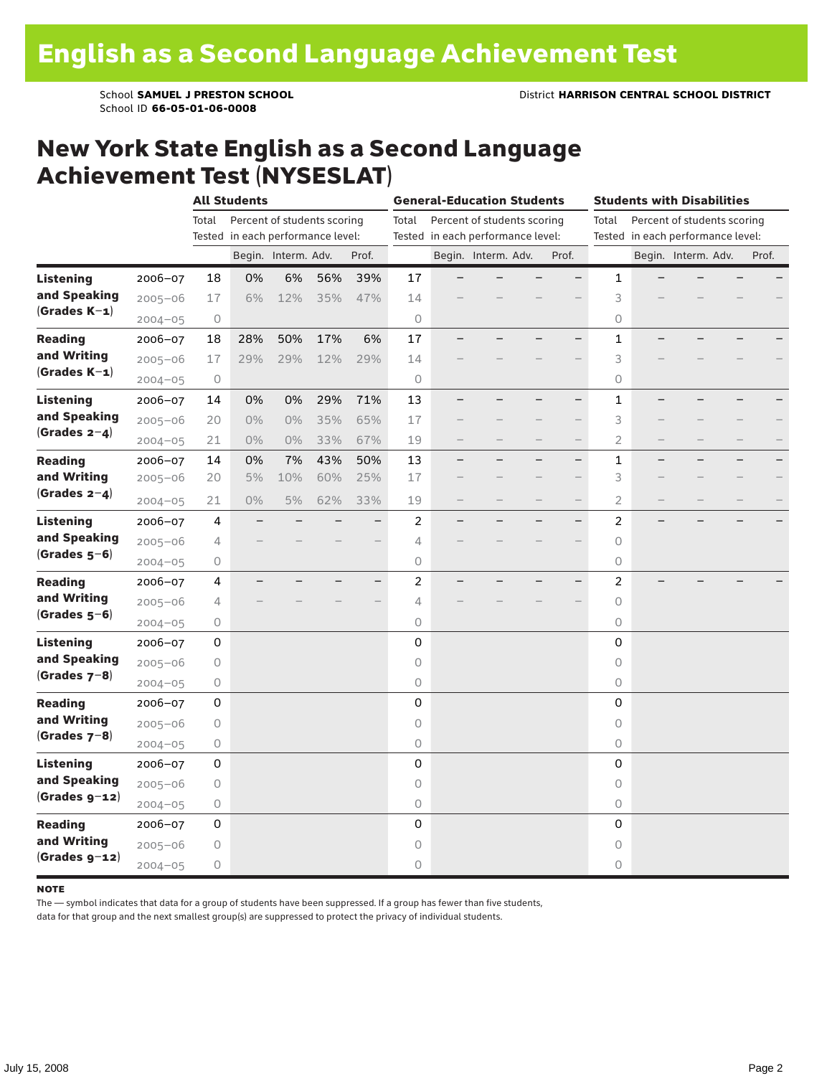### New York State English as a Second Language Achievement Test (NYSESLAT)

|                  |             | <b>All Students</b>               |       |                             |     |                                   | <b>General-Education Students</b> |  |                     |                                   |                          | <b>Students with Disabilities</b> |   |                             |  |       |  |
|------------------|-------------|-----------------------------------|-------|-----------------------------|-----|-----------------------------------|-----------------------------------|--|---------------------|-----------------------------------|--------------------------|-----------------------------------|---|-----------------------------|--|-------|--|
|                  |             | Total                             |       | Percent of students scoring |     |                                   | Total                             |  |                     | Percent of students scoring       |                          | Total                             |   | Percent of students scoring |  |       |  |
|                  |             | Tested in each performance level: |       |                             |     | Tested in each performance level: |                                   |  |                     | Tested in each performance level: |                          |                                   |   |                             |  |       |  |
|                  |             |                                   |       | Begin. Interm. Adv.         |     | Prof.                             |                                   |  | Begin. Interm. Adv. |                                   | Prof.                    |                                   |   | Begin. Interm. Adv.         |  | Prof. |  |
| <b>Listening</b> | 2006-07     | 18                                | 0%    | 6%                          | 56% | 39%                               | 17                                |  |                     |                                   |                          | 1                                 |   |                             |  |       |  |
| and Speaking     | $2005 - 06$ | 17                                | 6%    | 12%                         | 35% | 47%                               | 14                                |  |                     |                                   |                          | 3                                 |   |                             |  |       |  |
| $(Grades K-1)$   | $2004 - 05$ | $\circ$                           |       |                             |     |                                   | $\circ$                           |  |                     |                                   |                          | 0                                 |   |                             |  |       |  |
| <b>Reading</b>   | $2006 - 07$ | 18                                | 28%   | 50%                         | 17% | 6%                                | 17                                |  |                     |                                   |                          | 1                                 |   |                             |  |       |  |
| and Writing      | $2005 - 06$ | 17                                | 29%   | 29%                         | 12% | 29%                               | 14                                |  |                     |                                   |                          | 3                                 |   |                             |  |       |  |
| $(Grades K-1)$   | $2004 - 05$ | $\circ$                           |       |                             |     |                                   | $\circ$                           |  |                     |                                   |                          | 0                                 |   |                             |  |       |  |
| <b>Listening</b> | $2006 - 07$ | 14                                | 0%    | 0%                          | 29% | 71%                               | 13                                |  |                     |                                   |                          | $\mathbf{1}$                      |   |                             |  |       |  |
| and Speaking     | $2005 - 06$ | 20                                | 0%    | 0%                          | 35% | 65%                               | 17                                |  |                     |                                   |                          | 3                                 |   |                             |  |       |  |
| (Grades $2-4$ )  | $2004 - 05$ | 21                                | $0\%$ | 0%                          | 33% | 67%                               | 19                                |  |                     |                                   | $\qquad \qquad -$        | $\overline{2}$                    |   |                             |  |       |  |
| <b>Reading</b>   | $2006 - 07$ | 14                                | 0%    | 7%                          | 43% | 50%                               | 13                                |  |                     |                                   | $\overline{\phantom{0}}$ | 1                                 | ▃ |                             |  |       |  |
| and Writing      | $2005 - 06$ | 20                                | 5%    | 10%                         | 60% | 25%                               | 17                                |  |                     |                                   |                          | 3                                 |   |                             |  |       |  |
| (Grades $2-4$ )  | $2004 - 05$ | 21                                | $0\%$ | 5%                          | 62% | 33%                               | 19                                |  |                     |                                   | $\qquad \qquad -$        | $\overline{2}$                    |   |                             |  |       |  |
| <b>Listening</b> | 2006-07     | 4                                 |       |                             |     | $\overline{\phantom{0}}$          | 2                                 |  |                     |                                   | $-$                      | $\overline{c}$                    |   |                             |  |       |  |
| and Speaking     | $2005 - 06$ | 4                                 |       |                             |     |                                   | 4                                 |  |                     |                                   |                          | $\circ$                           |   |                             |  |       |  |
| $(Grades 5-6)$   | $2004 - 05$ | 0                                 |       |                             |     |                                   | 0                                 |  |                     |                                   |                          | 0                                 |   |                             |  |       |  |
| <b>Reading</b>   | $2006 - 07$ | 4                                 |       |                             |     | $\overline{\phantom{0}}$          | 2                                 |  |                     |                                   |                          | $\overline{c}$                    |   |                             |  |       |  |
| and Writing      | $2005 - 06$ | 4                                 |       |                             |     |                                   | $\overline{4}$                    |  |                     |                                   |                          | 0                                 |   |                             |  |       |  |
| (Grades $5-6$ )  | $2004 - 05$ | 0                                 |       |                             |     |                                   | $\circ$                           |  |                     |                                   |                          | 0                                 |   |                             |  |       |  |
| Listening        | 2006-07     | 0                                 |       |                             |     |                                   | 0                                 |  |                     |                                   |                          | 0                                 |   |                             |  |       |  |
| and Speaking     | $2005 - 06$ | 0                                 |       |                             |     |                                   | $\circ$                           |  |                     |                                   |                          | $\circ$                           |   |                             |  |       |  |
| (Grades $7-8$ )  | $2004 - 05$ | 0                                 |       |                             |     |                                   | $\bigcirc$                        |  |                     |                                   |                          | 0                                 |   |                             |  |       |  |
| <b>Reading</b>   | 2006-07     | 0                                 |       |                             |     |                                   | $\mathbf 0$                       |  |                     |                                   |                          | 0                                 |   |                             |  |       |  |
| and Writing      | $2005 - 06$ | 0                                 |       |                             |     |                                   | $\circ$                           |  |                     |                                   |                          | 0                                 |   |                             |  |       |  |
| $(Grades 7-8)$   | $2004 - 05$ | 0                                 |       |                             |     |                                   | 0                                 |  |                     |                                   |                          | 0                                 |   |                             |  |       |  |
| <b>Listening</b> | $2006 - 07$ | 0                                 |       |                             |     |                                   | $\mathsf 0$                       |  |                     |                                   |                          | 0                                 |   |                             |  |       |  |
| and Speaking     | $2005 - 06$ | 0                                 |       |                             |     |                                   | $\circ$                           |  |                     |                                   |                          | $\circ$                           |   |                             |  |       |  |
| $(Grades g-12)$  | $2004 - 05$ | 0                                 |       |                             |     |                                   | $\circ$                           |  |                     |                                   |                          | $\circ$                           |   |                             |  |       |  |
| <b>Reading</b>   | 2006-07     | $\mathsf 0$                       |       |                             |     |                                   | 0                                 |  |                     |                                   |                          | 0                                 |   |                             |  |       |  |
| and Writing      | $2005 - 06$ | 0                                 |       |                             |     |                                   | 0                                 |  |                     |                                   |                          | 0                                 |   |                             |  |       |  |
| $(Grades g-12)$  | $2004 - 05$ | 0                                 |       |                             |     |                                   | $\circ$                           |  |                     |                                   |                          | 0                                 |   |                             |  |       |  |

#### **NOTE**

The — symbol indicates that data for a group of students have been suppressed. If a group has fewer than five students,

data for that group and the next smallest group(s) are suppressed to protect the privacy of individual students.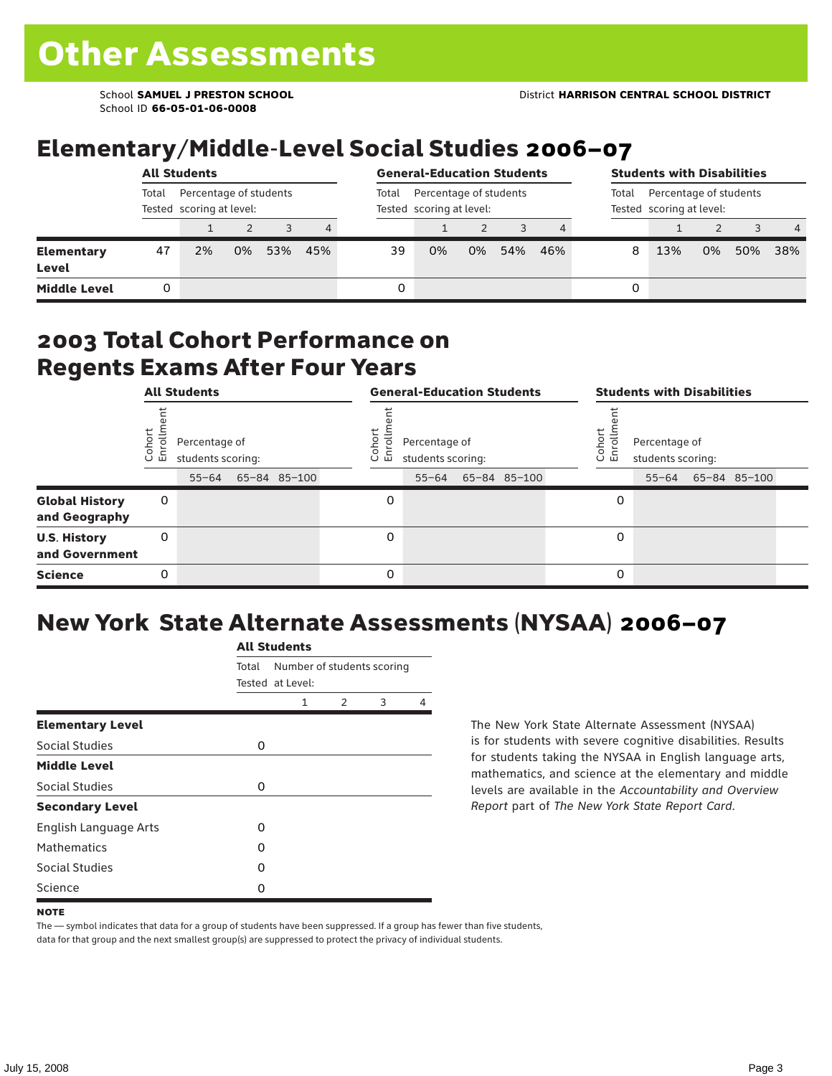School ID **66-05-01-06-0008**

## Elementary/Middle-Level Social Studies 2006–07

|                            |                                                             | <b>All Students</b> |    | <b>General-Education Students</b> |                | <b>Students with Disabilities</b> |                                                    |    |                                                             |     |   |     |    |     |     |
|----------------------------|-------------------------------------------------------------|---------------------|----|-----------------------------------|----------------|-----------------------------------|----------------------------------------------------|----|-------------------------------------------------------------|-----|---|-----|----|-----|-----|
|                            | Total<br>Percentage of students<br>Tested scoring at level: |                     |    |                                   |                | Total                             | Percentage of students<br>Tested scoring at level: |    | Percentage of students<br>Total<br>Tested scoring at level: |     |   |     |    |     |     |
|                            |                                                             |                     |    |                                   | $\overline{4}$ |                                   |                                                    |    |                                                             |     |   |     |    |     | -4  |
| <b>Elementary</b><br>Level | 47                                                          | 2%                  | 0% | 53%                               | 45%            | 39                                | 0%                                                 | 0% | 54%                                                         | 46% | 8 | 13% | 0% | 50% | 38% |
| <b>Middle Level</b>        |                                                             |                     |    |                                   |                | 0                                 |                                                    |    |                                                             |     | 0 |     |    |     |     |

### 2003 Total Cohort Performance on Regents Exams After Four Years

|                                        | <b>All Students</b> |                                                 |  |              |  | <b>General-Education Students</b> |                                                 |  |              |  |                       | <b>Students with Disabilities</b>  |  |                    |  |  |  |
|----------------------------------------|---------------------|-------------------------------------------------|--|--------------|--|-----------------------------------|-------------------------------------------------|--|--------------|--|-----------------------|------------------------------------|--|--------------------|--|--|--|
|                                        | Cohor<br>Enroll     | Percentage of<br>students scoring:<br>$55 - 64$ |  | 65-84 85-100 |  | Cohoi<br>ō.<br>ᇛ                  | Percentage of<br>students scoring:<br>$55 - 64$ |  | 65-84 85-100 |  | Cohor<br>$\circ$<br>멷 | Percentage of<br>students scoring: |  | 55-64 65-84 85-100 |  |  |  |
| <b>Global History</b><br>and Geography | 0                   |                                                 |  |              |  | 0                                 |                                                 |  |              |  | 0                     |                                    |  |                    |  |  |  |
| <b>U.S. History</b><br>and Government  | 0                   |                                                 |  |              |  | 0                                 |                                                 |  |              |  | 0                     |                                    |  |                    |  |  |  |
| <b>Science</b>                         | 0                   |                                                 |  |              |  | 0                                 |                                                 |  |              |  | 0                     |                                    |  |                    |  |  |  |

# New York State Alternate Assessments (NYSAA) 2006–07

|                         | <b>All Students</b> |                                                |               |   |   |  |  |  |  |  |  |
|-------------------------|---------------------|------------------------------------------------|---------------|---|---|--|--|--|--|--|--|
|                         | Total               | Number of students scoring<br>Tested at Level: |               |   |   |  |  |  |  |  |  |
|                         |                     | 1                                              | $\mathcal{P}$ | 3 | 4 |  |  |  |  |  |  |
| <b>Elementary Level</b> |                     |                                                |               |   |   |  |  |  |  |  |  |
| Social Studies          | 0                   |                                                |               |   |   |  |  |  |  |  |  |
| <b>Middle Level</b>     |                     |                                                |               |   |   |  |  |  |  |  |  |
| Social Studies          | O                   |                                                |               |   |   |  |  |  |  |  |  |
| <b>Secondary Level</b>  |                     |                                                |               |   |   |  |  |  |  |  |  |
| English Language Arts   | O                   |                                                |               |   |   |  |  |  |  |  |  |
| <b>Mathematics</b>      | O                   |                                                |               |   |   |  |  |  |  |  |  |
| <b>Social Studies</b>   | O                   |                                                |               |   |   |  |  |  |  |  |  |
| Science                 | Ω                   |                                                |               |   |   |  |  |  |  |  |  |

The New York State Alternate Assessment (NYSAA) is for students with severe cognitive disabilities. Results for students taking the NYSAA in English language arts, mathematics, and science at the elementary and middle levels are available in the *Accountability and Overview Report* part of *The New York State Report Card*.

The — symbol indicates that data for a group of students have been suppressed. If a group has fewer than five students, data for that group and the next smallest group(s) are suppressed to protect the privacy of individual students.

**NOTE**